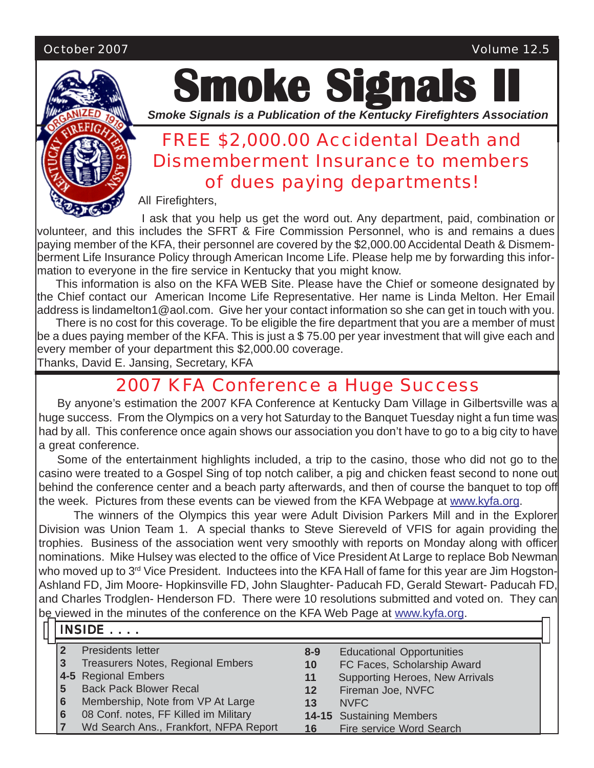#### October 2007 Volume 12.5



# **Smoke Signals**

*Smoke Signals is a Publication of the Kentucky Firefighters Association*

# FREE \$2,000.00 Accidental Death and Dismemberment Insurance to members of dues paying departments!

All Firefighters,

I ask that you help us get the word out. Any department, paid, combination or volunteer, and this includes the SFRT & Fire Commission Personnel, who is and remains a dues paying member of the KFA, their personnel are covered by the \$2,000.00 Accidental Death & Dismemberment Life Insurance Policy through American Income Life. Please help me by forwarding this information to everyone in the fire service in Kentucky that you might know.

This information is also on the KFA WEB Site. Please have the Chief or someone designated by the Chief contact our American Income Life Representative. Her name is Linda Melton. Her Email address is lindamelton1@aol.com. Give her your contact information so she can get in touch with you.

There is no cost for this coverage. To be eligible the fire department that you are a member of must be a dues paying member of the KFA. This is just a \$ 75.00 per year investment that will give each and every member of your department this \$2,000.00 coverage. Thanks, David E. Jansing, Secretary, KFA

# 2007 KFA Conference a Huge Success

By anyone's estimation the 2007 KFA Conference at Kentucky Dam Village in Gilbertsville was a huge success. From the Olympics on a very hot Saturday to the Banquet Tuesday night a fun time was had by all. This conference once again shows our association you don't have to go to a big city to have a great conference.

Some of the entertainment highlights included, a trip to the casino, those who did not go to the casino were treated to a Gospel Sing of top notch caliber, a pig and chicken feast second to none out behind the conference center and a beach party afterwards, and then of course the banquet to top off the week. Pictures from these events can be viewed from the KFA Webpage at www.kyfa.org.

The winners of the Olympics this year were Adult Division Parkers Mill and in the Explorer Division was Union Team 1. A special thanks to Steve Siereveld of VFIS for again providing the trophies. Business of the association went very smoothly with reports on Monday along with officer nominations. Mike Hulsey was elected to the office of Vice President At Large to replace Bob Newman who moved up to 3<sup>rd</sup> Vice President. Inductees into the KFA Hall of fame for this year are Jim Hogston-Ashland FD, Jim Moore- Hopkinsville FD, John Slaughter- Paducah FD, Gerald Stewart- Paducah FD, and Charles Trodglen- Henderson FD. There were 10 resolutions submitted and voted on. They can be viewed in the minutes of the conference on the KFA Web Page at www.kyfa.org.

|   |                | le viewed in the minutes of the conierence on the KFA (veb Fage at <u>www.Kyia.Org</u> . |          |                                  |  |  |  |  |  |  |  |  |
|---|----------------|------------------------------------------------------------------------------------------|----------|----------------------------------|--|--|--|--|--|--|--|--|
| ⊓ | <b>INSIDE </b> |                                                                                          |          |                                  |  |  |  |  |  |  |  |  |
|   |                | Presidents letter                                                                        | $8 - 9$  | <b>Educational Opportunities</b> |  |  |  |  |  |  |  |  |
|   | 3              | Treasurers Notes, Regional Embers                                                        | 10       | FC Faces, Scholarship Award      |  |  |  |  |  |  |  |  |
|   |                | 4-5 Regional Embers                                                                      | 11<br>12 | Supporting Heroes, New Arrivals  |  |  |  |  |  |  |  |  |
|   | 5              | <b>Back Pack Blower Recal</b>                                                            |          | Fireman Joe, NVFC                |  |  |  |  |  |  |  |  |
|   | 6              | Membership, Note from VP At Large                                                        | 13       | NVFC                             |  |  |  |  |  |  |  |  |
|   | 6              | 08 Conf. notes, FF Killed im Military                                                    |          | <b>14-15 Sustaining Members</b>  |  |  |  |  |  |  |  |  |
|   |                | Wd Search Ans., Frankfort, NFPA Report                                                   | 16       | Fire service Word Search         |  |  |  |  |  |  |  |  |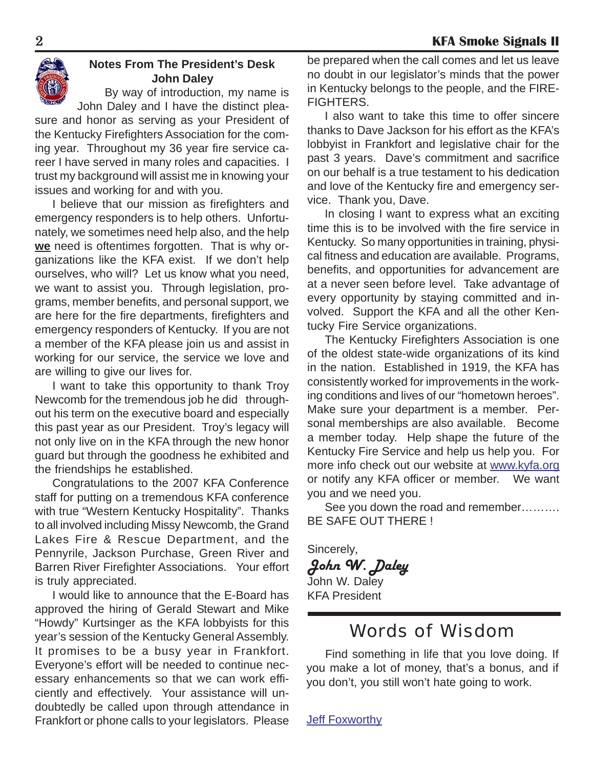

#### **Notes From The President's Desk John Daley**

By way of introduction, my name is John Daley and I have the distinct plea-

sure and honor as serving as your President of the Kentucky Firefighters Association for the coming year. Throughout my 36 year fire service career I have served in many roles and capacities. I trust my background will assist me in knowing your issues and working for and with you.

I believe that our mission as firefighters and emergency responders is to help others. Unfortunately, we sometimes need help also, and the help **we** need is oftentimes forgotten. That is why organizations like the KFA exist. If we don't help ourselves, who will? Let us know what you need, we want to assist you. Through legislation, programs, member benefits, and personal support, we are here for the fire departments, firefighters and emergency responders of Kentucky. If you are not a member of the KFA please join us and assist in working for our service, the service we love and are willing to give our lives for.

I want to take this opportunity to thank Troy Newcomb for the tremendous job he did throughout his term on the executive board and especially this past year as our President. Troy's legacy will not only live on in the KFA through the new honor guard but through the goodness he exhibited and the friendships he established.

Congratulations to the 2007 KFA Conference staff for putting on a tremendous KFA conference with true "Western Kentucky Hospitality". Thanks to all involved including Missy Newcomb, the Grand Lakes Fire & Rescue Department, and the Pennyrile, Jackson Purchase, Green River and Barren River Firefighter Associations. Your effort is truly appreciated.

I would like to announce that the E-Board has approved the hiring of Gerald Stewart and Mike "Howdy" Kurtsinger as the KFA lobbyists for this year's session of the Kentucky General Assembly. It promises to be a busy year in Frankfort. Everyone's effort will be needed to continue necessary enhancements so that we can work efficiently and effectively. Your assistance will undoubtedly be called upon through attendance in Frankfort or phone calls to your legislators. Please be prepared when the call comes and let us leave no doubt in our legislator's minds that the power in Kentucky belongs to the people, and the FIRE-FIGHTERS.

I also want to take this time to offer sincere thanks to Dave Jackson for his effort as the KFA's lobbyist in Frankfort and legislative chair for the past 3 years. Dave's commitment and sacrifice on our behalf is a true testament to his dedication and love of the Kentucky fire and emergency service. Thank you, Dave.

In closing I want to express what an exciting time this is to be involved with the fire service in Kentucky. So many opportunities in training, physical fitness and education are available. Programs, benefits, and opportunities for advancement are at a never seen before level. Take advantage of every opportunity by staying committed and involved. Support the KFA and all the other Kentucky Fire Service organizations.

The Kentucky Firefighters Association is one of the oldest state-wide organizations of its kind in the nation. Established in 1919, the KFA has consistently worked for improvements in the working conditions and lives of our "hometown heroes". Make sure your department is a member. Personal memberships are also available. Become a member today. Help shape the future of the Kentucky Fire Service and help us help you. For more info check out our website at www.kyfa.org or notify any KFA officer or member. We want you and we need you.

See you down the road and remember………. BE SAFE OUT THERE !

Sincerely, *John W. Daley* John W. Daley KFA President

# Words of Wisdom

Find something in life that you love doing. If you make a lot of money, that's a bonus, and if you don't, you still won't hate going to work.

Jeff Foxworthy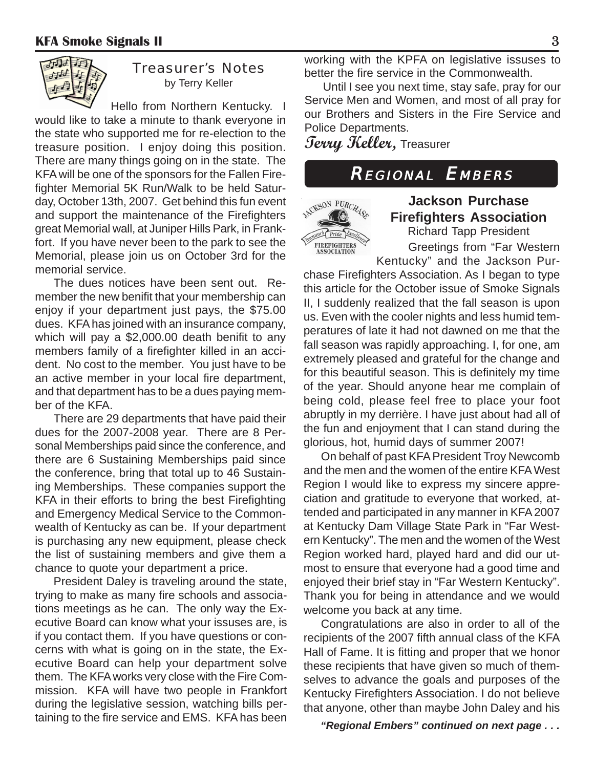

#### Treasurer's Notes by Terry Keller

Hello from Northern Kentucky. I would like to take a minute to thank everyone in the state who supported me for re-election to the treasure position. I enjoy doing this position. There are many things going on in the state. The KFA will be one of the sponsors for the Fallen Firefighter Memorial 5K Run/Walk to be held Saturday, October 13th, 2007. Get behind this fun event and support the maintenance of the Firefighters great Memorial wall, at Juniper Hills Park, in Frankfort. If you have never been to the park to see the Memorial, please join us on October 3rd for the memorial service.

The dues notices have been sent out. Remember the new benifit that your membership can enjoy if your department just pays, the \$75.00 dues. KFA has joined with an insurance company, which will pay a \$2,000.00 death benifit to any members family of a firefighter killed in an accident. No cost to the member. You just have to be an active member in your local fire department, and that department has to be a dues paying member of the KFA.

There are 29 departments that have paid their dues for the 2007-2008 year. There are 8 Personal Memberships paid since the conference, and there are 6 Sustaining Memberships paid since the conference, bring that total up to 46 Sustaining Memberships. These companies support the KFA in their efforts to bring the best Firefighting and Emergency Medical Service to the Commonwealth of Kentucky as can be. If your department is purchasing any new equipment, please check the list of sustaining members and give them a chance to quote your department a price.

President Daley is traveling around the state, trying to make as many fire schools and associations meetings as he can. The only way the Executive Board can know what your issuses are, is if you contact them. If you have questions or concerns with what is going on in the state, the Executive Board can help your department solve them. The KFA works very close with the Fire Commission. KFA will have two people in Frankfort during the legislative session, watching bills pertaining to the fire service and EMS. KFA has been working with the KPFA on legislative issuses to better the fire service in the Commonwealth.

Until I see you next time, stay safe, pray for our Service Men and Women, and most of all pray for our Brothers and Sisters in the Fire Service and Police Departments.

**Terry Keller,** Treasurer

# REGIONAL EMBERS



**Jackson Purchase Firefighters Association** Richard Tapp President

Greetings from "Far Western Kentucky" and the Jackson Pur-

chase Firefighters Association. As I began to type this article for the October issue of Smoke Signals II, I suddenly realized that the fall season is upon us. Even with the cooler nights and less humid temperatures of late it had not dawned on me that the fall season was rapidly approaching. I, for one, am extremely pleased and grateful for the change and for this beautiful season. This is definitely my time of the year. Should anyone hear me complain of being cold, please feel free to place your foot abruptly in my derrière. I have just about had all of the fun and enjoyment that I can stand during the glorious, hot, humid days of summer 2007!

On behalf of past KFA President Troy Newcomb and the men and the women of the entire KFA West Region I would like to express my sincere appreciation and gratitude to everyone that worked, attended and participated in any manner in KFA 2007 at Kentucky Dam Village State Park in "Far Western Kentucky". The men and the women of the West Region worked hard, played hard and did our utmost to ensure that everyone had a good time and enjoyed their brief stay in "Far Western Kentucky". Thank you for being in attendance and we would welcome you back at any time.

Congratulations are also in order to all of the recipients of the 2007 fifth annual class of the KFA Hall of Fame. It is fitting and proper that we honor these recipients that have given so much of themselves to advance the goals and purposes of the Kentucky Firefighters Association. I do not believe that anyone, other than maybe John Daley and his

 *"Regional Embers" continued on next page . . .*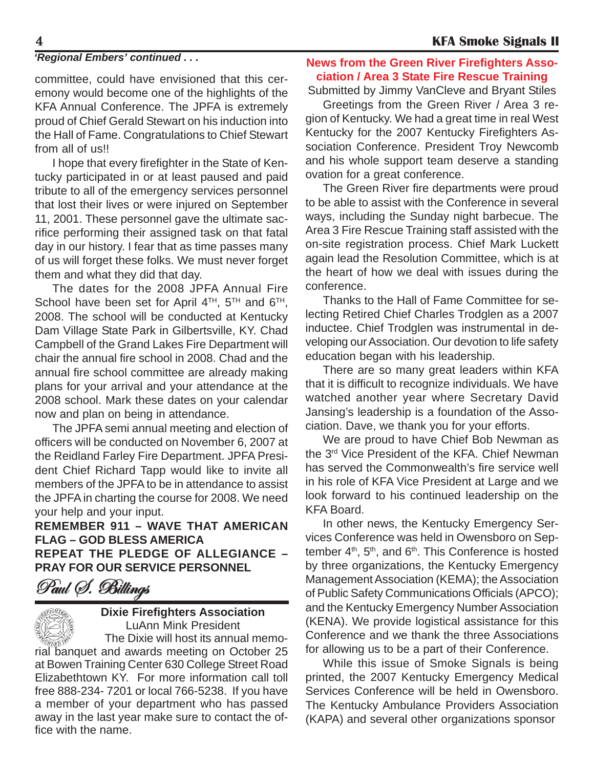#### *'Regional Embers' continued . . .*

committee, could have envisioned that this ceremony would become one of the highlights of the KFA Annual Conference. The JPFA is extremely proud of Chief Gerald Stewart on his induction into the Hall of Fame. Congratulations to Chief Stewart from all of us!!

I hope that every firefighter in the State of Kentucky participated in or at least paused and paid tribute to all of the emergency services personnel that lost their lives or were injured on September 11, 2001. These personnel gave the ultimate sacrifice performing their assigned task on that fatal day in our history. I fear that as time passes many of us will forget these folks. We must never forget them and what they did that day.

The dates for the 2008 JPFA Annual Fire School have been set for April  $4^{TH}$ ,  $5^{TH}$  and  $6^{TH}$ , 2008. The school will be conducted at Kentucky Dam Village State Park in Gilbertsville, KY. Chad Campbell of the Grand Lakes Fire Department will chair the annual fire school in 2008. Chad and the annual fire school committee are already making plans for your arrival and your attendance at the 2008 school. Mark these dates on your calendar now and plan on being in attendance.

The JPFA semi annual meeting and election of officers will be conducted on November 6, 2007 at the Reidland Farley Fire Department. JPFA President Chief Richard Tapp would like to invite all members of the JPFA to be in attendance to assist the JPFA in charting the course for 2008. We need your help and your input.

**REMEMBER 911 – WAVE THAT AMERICAN FLAG – GOD BLESS AMERICA REPEAT THE PLEDGE OF ALLEGIANCE – PRAY FOR OUR SERVICE PERSONNEL**

Paul (S. Billings



#### **Dixie Firefighters Association** LuAnn Mink President

The Dixie will host its annual memorial banquet and awards meeting on October 25 at Bowen Training Center 630 College Street Road Elizabethtown KY. For more information call toll free 888-234- 7201 or local 766-5238. If you have a member of your department who has passed away in the last year make sure to contact the office with the name.

#### **News from the Green River Firefighters Association / Area 3 State Fire Rescue Training**

Submitted by Jimmy VanCleve and Bryant Stiles

Greetings from the Green River / Area 3 region of Kentucky. We had a great time in real West Kentucky for the 2007 Kentucky Firefighters Association Conference. President Troy Newcomb and his whole support team deserve a standing ovation for a great conference.

The Green River fire departments were proud to be able to assist with the Conference in several ways, including the Sunday night barbecue. The Area 3 Fire Rescue Training staff assisted with the on-site registration process. Chief Mark Luckett again lead the Resolution Committee, which is at the heart of how we deal with issues during the conference.

Thanks to the Hall of Fame Committee for selecting Retired Chief Charles Trodglen as a 2007 inductee. Chief Trodglen was instrumental in developing our Association. Our devotion to life safety education began with his leadership.

There are so many great leaders within KFA that it is difficult to recognize individuals. We have watched another year where Secretary David Jansing's leadership is a foundation of the Association. Dave, we thank you for your efforts.

We are proud to have Chief Bob Newman as the 3rd Vice President of the KFA. Chief Newman has served the Commonwealth's fire service well in his role of KFA Vice President at Large and we look forward to his continued leadership on the KFA Board.

In other news, the Kentucky Emergency Services Conference was held in Owensboro on September  $4<sup>th</sup>$ ,  $5<sup>th</sup>$ , and  $6<sup>th</sup>$ . This Conference is hosted by three organizations, the Kentucky Emergency Management Association (KEMA); the Association of Public Safety Communications Officials (APCO); and the Kentucky Emergency Number Association (KENA). We provide logistical assistance for this Conference and we thank the three Associations for allowing us to be a part of their Conference.

While this issue of Smoke Signals is being printed, the 2007 Kentucky Emergency Medical Services Conference will be held in Owensboro. The Kentucky Ambulance Providers Association (KAPA) and several other organizations sponsor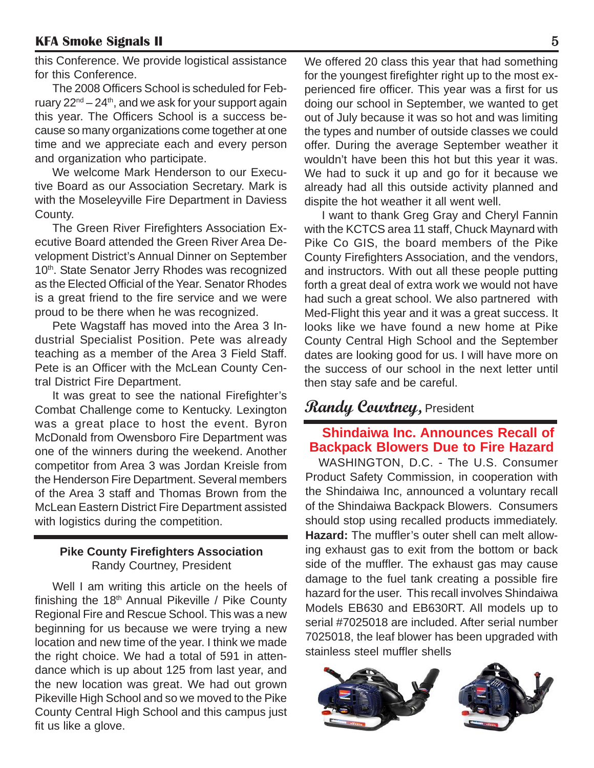this Conference. We provide logistical assistance for this Conference.

The 2008 Officers School is scheduled for February  $22^{nd} - 24^{th}$ , and we ask for your support again this year. The Officers School is a success because so many organizations come together at one time and we appreciate each and every person and organization who participate.

We welcome Mark Henderson to our Executive Board as our Association Secretary. Mark is with the Moseleyville Fire Department in Daviess County.

The Green River Firefighters Association Executive Board attended the Green River Area Development District's Annual Dinner on September 10<sup>th</sup>. State Senator Jerry Rhodes was recognized as the Elected Official of the Year. Senator Rhodes is a great friend to the fire service and we were proud to be there when he was recognized.

Pete Wagstaff has moved into the Area 3 Industrial Specialist Position. Pete was already teaching as a member of the Area 3 Field Staff. Pete is an Officer with the McLean County Central District Fire Department.

It was great to see the national Firefighter's Combat Challenge come to Kentucky. Lexington was a great place to host the event. Byron McDonald from Owensboro Fire Department was one of the winners during the weekend. Another competitor from Area 3 was Jordan Kreisle from the Henderson Fire Department. Several members of the Area 3 staff and Thomas Brown from the McLean Eastern District Fire Department assisted with logistics during the competition.

#### **Pike County Firefighters Association** Randy Courtney, President

Well I am writing this article on the heels of finishing the  $18<sup>th</sup>$  Annual Pikeville / Pike County Regional Fire and Rescue School. This was a new beginning for us because we were trying a new location and new time of the year. I think we made the right choice. We had a total of 591 in attendance which is up about 125 from last year, and the new location was great. We had out grown Pikeville High School and so we moved to the Pike County Central High School and this campus just fit us like a glove.

We offered 20 class this year that had something for the youngest firefighter right up to the most experienced fire officer. This year was a first for us doing our school in September, we wanted to get out of July because it was so hot and was limiting the types and number of outside classes we could offer. During the average September weather it wouldn't have been this hot but this year it was. We had to suck it up and go for it because we already had all this outside activity planned and dispite the hot weather it all went well.

I want to thank Greg Gray and Cheryl Fannin with the KCTCS area 11 staff, Chuck Maynard with Pike Co GIS, the board members of the Pike County Firefighters Association, and the vendors, and instructors. With out all these people putting forth a great deal of extra work we would not have had such a great school. We also partnered with Med-Flight this year and it was a great success. It looks like we have found a new home at Pike County Central High School and the September dates are looking good for us. I will have more on the success of our school in the next letter until then stay safe and be careful.

## **Randy Courtney,** President

#### **Shindaiwa Inc. Announces Recall of Backpack Blowers Due to Fire Hazard**

WASHINGTON, D.C. - The U.S. Consumer Product Safety Commission, in cooperation with the Shindaiwa Inc, announced a voluntary recall of the Shindaiwa Backpack Blowers. Consumers should stop using recalled products immediately. **Hazard:** The muffler's outer shell can melt allowing exhaust gas to exit from the bottom or back side of the muffler. The exhaust gas may cause damage to the fuel tank creating a possible fire hazard for the user. This recall involves Shindaiwa Models EB630 and EB630RT. All models up to serial #7025018 are included. After serial number 7025018, the leaf blower has been upgraded with stainless steel muffler shells

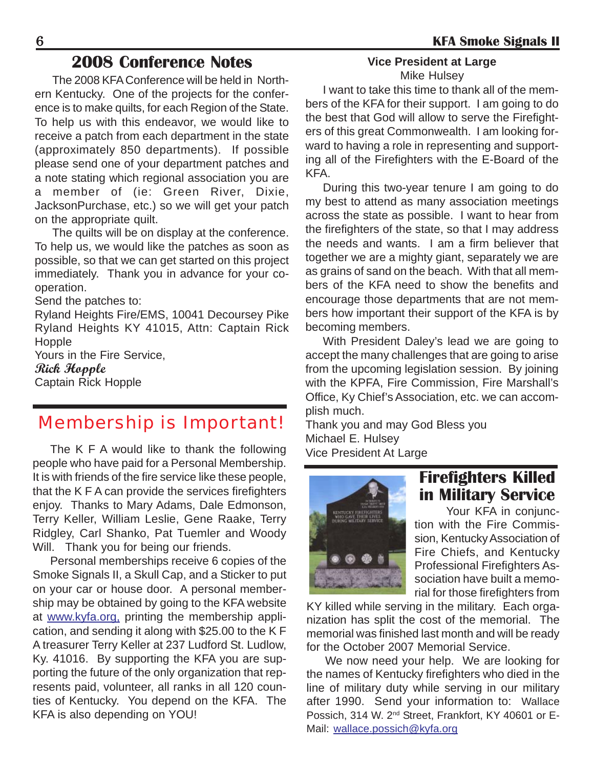## **2008 Conference Notes**

The 2008 KFA Conference will be held in Northern Kentucky. One of the projects for the conference is to make quilts, for each Region of the State. To help us with this endeavor, we would like to receive a patch from each department in the state (approximately 850 departments). If possible please send one of your department patches and a note stating which regional association you are a member of (ie: Green River, Dixie, JacksonPurchase, etc.) so we will get your patch on the appropriate quilt.

The quilts will be on display at the conference. To help us, we would like the patches as soon as possible, so that we can get started on this project immediately. Thank you in advance for your cooperation.

Send the patches to:

Ryland Heights Fire/EMS, 10041 Decoursey Pike Ryland Heights KY 41015, Attn: Captain Rick **Hopple** 

Yours in the Fire Service,

**Rick Hopple** Captain Rick Hopple

# Membership is Important!

Michael E. Hulsey<br>The K F A would like to thank the following Vice President At Large<br>people who have paid for a Personal Membership. It is with friends of the fire service like these people, that the K F A can provide the services firefighters enjoy. Thanks to Mary Adams, Dale Edmonson, Terry Keller, William Leslie, Gene Raake, Terry Ridgley, Carl Shanko, Pat Tuemler and Woody Will. Thank you for being our friends.

Personal memberships receive 6 copies of the Smoke Signals II, a Skull Cap, and a Sticker to put on your car or house door. A personal membership may be obtained by going to the KFA website at www.kyfa.org, printing the membership application, and sending it along with \$25.00 to the K F A treasurer Terry Keller at 237 Ludford St. Ludlow, Ky. 41016. By supporting the KFA you are supporting the future of the only organization that represents paid, volunteer, all ranks in all 120 counties of Kentucky. You depend on the KFA. The KFA is also depending on YOU!

#### **Vice President at Large** Mike Hulsey

I want to take this time to thank all of the members of the KFA for their support. I am going to do the best that God will allow to serve the Firefighters of this great Commonwealth. I am looking forward to having a role in representing and supporting all of the Firefighters with the E-Board of the KFA.

During this two-year tenure I am going to do my best to attend as many association meetings across the state as possible. I want to hear from the firefighters of the state, so that I may address the needs and wants. I am a firm believer that together we are a mighty giant, separately we are as grains of sand on the beach. With that all members of the KFA need to show the benefits and encourage those departments that are not members how important their support of the KFA is by becoming members.

With President Daley's lead we are going to accept the many challenges that are going to arise from the upcoming legislation session. By joining with the KPFA, Fire Commission, Fire Marshall's Office, Ky Chief's Association, etc. we can accomplish much.

Thank you and may God Bless you



# **Firefighters Killed in Military Service**

Your KFA in conjunction with the Fire Commission, Kentucky Association of Fire Chiefs, and Kentucky Professional Firefighters Association have built a memorial for those firefighters from

KY killed while serving in the military. Each organization has split the cost of the memorial. The memorial was finished last month and will be ready for the October 2007 Memorial Service.

We now need your help. We are looking for the names of Kentucky firefighters who died in the line of military duty while serving in our military after 1990. Send your information to: Wallace Possich, 314 W. 2nd Street, Frankfort, KY 40601 or E-Mail: wallace.possich@kyfa.org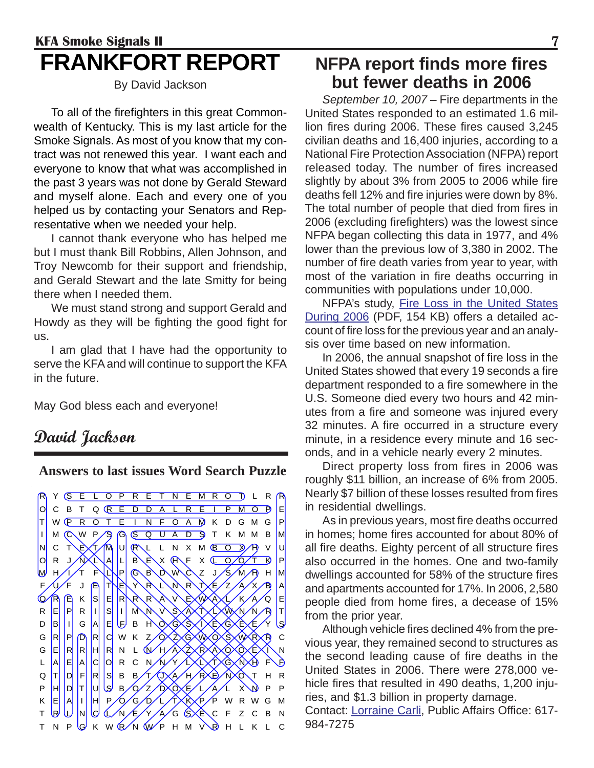# **KFA Smoke Signals II** 7 **FRANKFORT REPORT**

By David Jackson

To all of the firefighters in this great Commonwealth of Kentucky. This is my last article for the Smoke Signals. As most of you know that my contract was not renewed this year. I want each and everyone to know that what was accomplished in the past 3 years was not done by Gerald Steward and myself alone. Each and every one of you helped us by contacting your Senators and Representative when we needed your help.

I cannot thank everyone who has helped me but I must thank Bill Robbins, Allen Johnson, and Troy Newcomb for their support and friendship, and Gerald Stewart and the late Smitty for being there when I needed them.

We must stand strong and support Gerald and Howdy as they will be fighting the good fight for us.

I am glad that I have had the opportunity to serve the KFA and will continue to support the KFA in the future.

May God bless each and everyone!

## **David Jackson**

**Answers to last issues Word Search Puzzle**

Y **SELOPRETNEMRO** J L R R OCBT Q R E D D A L R E I P M O D E T W **P R O T E I N F O A M** K D G M G P I M C W P S G S Q U A D S T K M M B M NCTEXTANURL LNXMEO XAPVU OR JAXILLBEXHF XLOOT BP  $P$   $R$   $R$   $R$   $N$   $\sim$   $Z$  J FUF J ETEYRLNRTEZ AXBA Q/R E K S E R R R A V EXWAXL/K A Q E RE PR I S I MNVS A T LWNNRT DB|I|G|A|EUDBH\OXGXSXIXEXGXEXE/YUS G R P D R C W K Z O ZXG WXO S W R C G|E||R||R||H||R| N L (N/H/AXZXRXAXOXOXEXI\N L A E A C N VY LXLXTXGXNY F F Q|T||D||F||R||S||B||B*||T||*(J)|(A||/H||P|XE)|/N||XO||T||H||R P HDTUSBOZO<del>C</del>LAL XNPP K E A I H P O G D L T K P P WRWG M T RUNCLAFYAGSECF ZCBN T N P G K W Q N W P H M V R H L K L C

# **NFPA report finds more fires but fewer deaths in 2006**

*September 10, 2007* – Fire departments in the United States responded to an estimated 1.6 million fires during 2006. These fires caused 3,245 civilian deaths and 16,400 injuries, according to a National Fire Protection Association (NFPA) report released today. The number of fires increased slightly by about 3% from 2005 to 2006 while fire deaths fell 12% and fire injuries were down by 8%. The total number of people that died from fires in 2006 (excluding firefighters) was the lowest since NFPA began collecting this data in 1977, and 4% lower than the previous low of 3,380 in 2002. The number of fire death varies from year to year, with most of the variation in fire deaths occurring in communities with populations under 10,000.

NFPA's study, Fire Loss in the United States During 2006 (PDF, 154 KB) offers a detailed account of fire loss for the previous year and an analysis over time based on new information.

In 2006, the annual snapshot of fire loss in the United States showed that every 19 seconds a fire department responded to a fire somewhere in the U.S. Someone died every two hours and 42 minutes from a fire and someone was injured every 32 minutes. A fire occurred in a structure every minute, in a residence every minute and 16 seconds, and in a vehicle nearly every 2 minutes.

Direct property loss from fires in 2006 was roughly \$11 billion, an increase of 6% from 2005. Nearly \$7 billion of these losses resulted from fires in residential dwellings.

As in previous years, most fire deaths occurred in homes; home fires accounted for about 80% of all fire deaths. Eighty percent of all structure fires also occurred in the homes. One and two-family dwellings accounted for 58% of the structure fires and apartments accounted for 17%. In 2006, 2,580 people died from home fires, a decease of 15% from the prior year.

Although vehicle fires declined 4% from the previous year, they remained second to structures as the second leading cause of fire deaths in the United States in 2006. There were 278,000 vehicle fires that resulted in 490 deaths, 1,200 injuries, and \$1.3 billion in property damage.

Contact: Lorraine Carli, Public Affairs Office: 617- 984-7275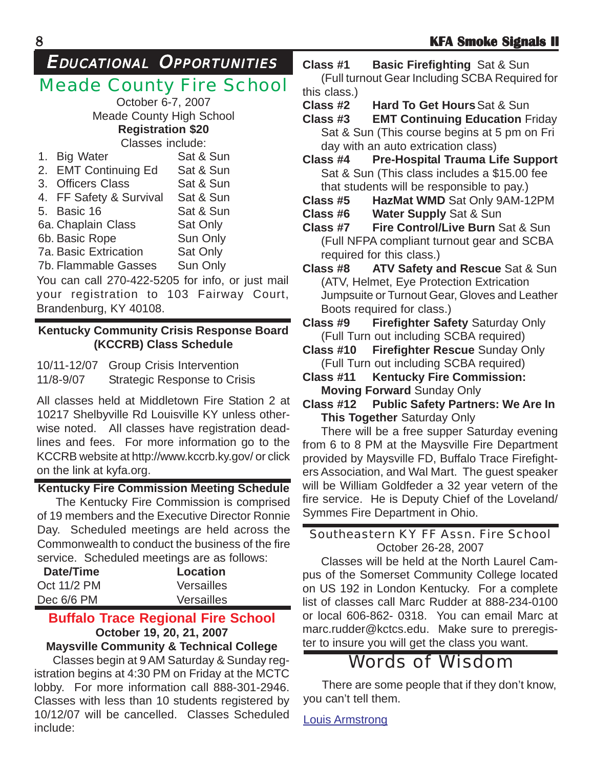# EDUCATIONAL OPPORTUNITIES

# Meade County Fire School

October 6-7, 2007 Meade County High School **Registration \$20**

Classes include:

| 1. Big Water                                    | Sat & Sun |
|-------------------------------------------------|-----------|
| 2. EMT Continuing Ed                            | Sat & Sun |
| 3. Officers Class                               | Sat & Sun |
| 4. FF Safety & Survival                         | Sat & Sun |
| 5. Basic 16                                     | Sat & Sun |
| 6a. Chaplain Class                              | Sat Only  |
| 6b. Basic Rope                                  | Sun Only  |
| 7a. Basic Extrication                           | Sat Only  |
| 7b. Flammable Gasses                            | Sun Only  |
| $\sqrt{2}$ can call 270-422-5205 for info or in |           |

You can call 270-422-5205 for info, or just mail your registration to 103 Fairway Court, Brandenburg, KY 40108.

#### **Kentucky Community Crisis Response Board (KCCRB) Class Schedule**

10/11-12/07 Group Crisis Intervention 11/8-9/07 Strategic Response to Crisis

All classes held at Middletown Fire Station 2 at 10217 Shelbyville Rd Louisville KY unless otherwise noted. All classes have registration deadlines and fees. For more information go to the KCCRB website at http://www.kccrb.ky.gov/ or click on the link at kyfa.org.

### **Kentucky Fire Commission Meeting Schedule**

The Kentucky Fire Commission is comprised of 19 members and the Executive Director Ronnie Day. Scheduled meetings are held across the Commonwealth to conduct the business of the fire service. Scheduled meetings are as follows:

| Date/Time   | <b>Location</b>   |
|-------------|-------------------|
| Oct 11/2 PM | <b>Versailles</b> |
| Dec 6/6 PM  | <b>Versailles</b> |
|             |                   |

## **Buffalo Trace Regional Fire School October 19, 20, 21, 2007**

### **Maysville Community & Technical College**

Classes begin at 9 AM Saturday & Sunday registration begins at 4:30 PM on Friday at the MCTC lobby. For more information call 888-301-2946. Classes with less than 10 students registered by 10/12/07 will be cancelled. Classes Scheduled include:

**Class #1 Basic Firefighting** Sat & Sun (Full turnout Gear Including SCBA Required for this class.)

**Class #2 Hard To Get Hours**Sat & Sun

**Class #3 EMT Continuing Education** Friday Sat & Sun (This course begins at 5 pm on Fri day with an auto extrication class)

- **Class #4 Pre-Hospital Trauma Life Support** Sat & Sun (This class includes a \$15.00 fee that students will be responsible to pay.)
- **Class #5 HazMat WMD** Sat Only 9AM-12PM **Class #6 Water Supply** Sat & Sun
- **Class #7 Fire Control/Live Burn** Sat & Sun (Full NFPA compliant turnout gear and SCBA required for this class.)
- **Class #8 ATV Safety and Rescue** Sat & Sun (ATV, Helmet, Eye Protection Extrication Jumpsuite or Turnout Gear, Gloves and Leather Boots required for class.)
- **Class #9 Firefighter Safety** Saturday Only (Full Turn out including SCBA required)
- **Class #10 Firefighter Rescue** Sunday Only (Full Turn out including SCBA required)
- **Class #11 Kentucky Fire Commission: Moving Forward** Sunday Only
- **Class #12 Public Safety Partners: We Are In This Together** Saturday Only

There will be a free supper Saturday evening from 6 to 8 PM at the Maysville Fire Department provided by Maysville FD, Buffalo Trace Firefighters Association, and Wal Mart. The guest speaker will be William Goldfeder a 32 year vetern of the fire service. He is Deputy Chief of the Loveland/ Symmes Fire Department in Ohio.

#### Southeastern KY FF Assn. Fire School October 26-28, 2007

Classes will be held at the North Laurel Campus of the Somerset Community College located on US 192 in London Kentucky. For a complete list of classes call Marc Rudder at 888-234-0100 or local 606-862- 0318. You can email Marc at marc.rudder@kctcs.edu. Make sure to preregister to insure you will get the class you want.

# Words of Wisdom

There are some people that if they don't know, you can't tell them.

Louis Armstrong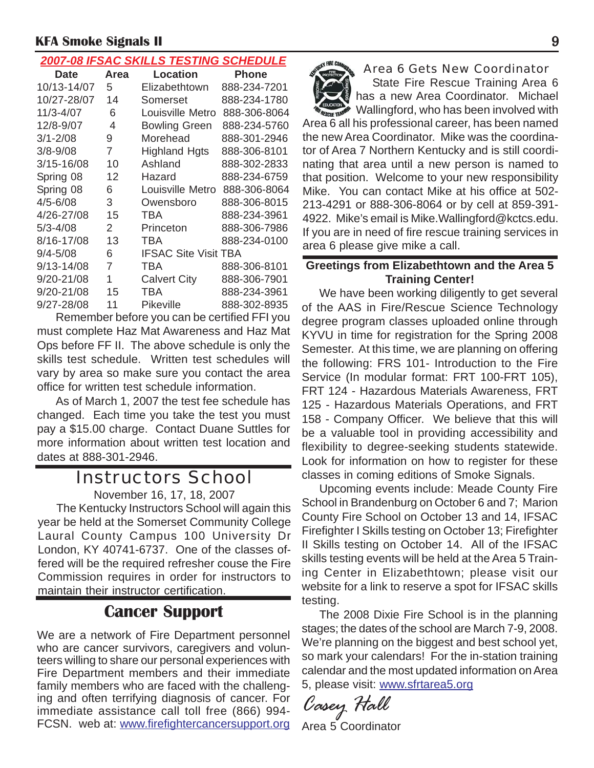#### *2007-08 IFSAC SKILLS TESTING SCHEDULE*

|                |      | <u>ZUUT-UU II UAU UNIEEU TEUTINU UUTIEDUEE</u> |              |
|----------------|------|------------------------------------------------|--------------|
| <b>Date</b>    | Area | Location                                       | Phone        |
| 10/13-14/07    | 5    | Elizabethtown                                  | 888-234-7201 |
| 10/27-28/07    | 14   | Somerset                                       | 888-234-1780 |
| 11/3-4/07      | 6    | Louisville Metro                               | 888-306-8064 |
| 12/8-9/07      | 4    | <b>Bowling Green</b>                           | 888-234-5760 |
| $3/1 - 2/08$   | 9    | Morehead                                       | 888-301-2946 |
| $3/8 - 9/08$   | 7    | <b>Highland Hgts</b>                           | 888-306-8101 |
| $3/15 - 16/08$ | 10   | Ashland                                        | 888-302-2833 |
| Spring 08      | 12   | Hazard                                         | 888-234-6759 |
| Spring 08      | 6    | Louisville Metro                               | 888-306-8064 |
| $4/5 - 6/08$   | 3    | Owensboro                                      | 888-306-8015 |
| 4/26-27/08     | 15   | TBA                                            | 888-234-3961 |
| $5/3 - 4/08$   | 2    | Princeton                                      | 888-306-7986 |
| 8/16-17/08     | 13   | TBA                                            | 888-234-0100 |
| $9/4 - 5/08$   | 6    | <b>IFSAC Site Visit TBA</b>                    |              |
| $9/13 - 14/08$ | 7    | TBA                                            | 888-306-8101 |
| 9/20-21/08     | 1    | <b>Calvert City</b>                            | 888-306-7901 |
| 9/20-21/08     | 15   | TBA                                            | 888-234-3961 |
| 9/27-28/08     | 11   | Pikeville                                      | 888-302-8935 |
|                |      |                                                |              |

Remember before you can be certified FFI you must complete Haz Mat Awareness and Haz Mat Ops before FF II. The above schedule is only the skills test schedule. Written test schedules will vary by area so make sure you contact the area office for written test schedule information.

As of March 1, 2007 the test fee schedule has changed. Each time you take the test you must pay a \$15.00 charge. Contact Duane Suttles for more information about written test location and dates at 888-301-2946.

# Instructors School

November 16, 17, 18, 2007

The Kentucky Instructors School will again this year be held at the Somerset Community College Laural County Campus 100 University Dr London, KY 40741-6737. One of the classes offered will be the required refresher couse the Fire Commission requires in order for instructors to maintain their instructor certification.

## **Cancer Support**

We are a network of Fire Department personnel who are cancer survivors, caregivers and volunteers willing to share our personal experiences with Fire Department members and their immediate family members who are faced with the challenging and often terrifying diagnosis of cancer. For immediate assistance call toll free (866) 994- FCSN. web at: www.firefightercancersupport.org



#### Area 6 Gets New Coordinator

State Fire Rescue Training Area 6 has a new Area Coordinator. Michael Wallingford, who has been involved with

Area 6 all his professional career, has been named the new Area Coordinator. Mike was the coordinator of Area 7 Northern Kentucky and is still coordinating that area until a new person is named to that position. Welcome to your new responsibility Mike. You can contact Mike at his office at 502- 213-4291 or 888-306-8064 or by cell at 859-391- 4922. Mike's email is Mike.Wallingford@kctcs.edu. If you are in need of fire rescue training services in area 6 please give mike a call.

#### **Greetings from Elizabethtown and the Area 5 Training Center!**

We have been working diligently to get several of the AAS in Fire/Rescue Science Technology degree program classes uploaded online through KYVU in time for registration for the Spring 2008 Semester. At this time, we are planning on offering the following: FRS 101- Introduction to the Fire Service (In modular format: FRT 100-FRT 105), FRT 124 - Hazardous Materials Awareness, FRT 125 - Hazardous Materials Operations, and FRT 158 - Company Officer. We believe that this will be a valuable tool in providing accessibility and flexibility to degree-seeking students statewide. Look for information on how to register for these classes in coming editions of Smoke Signals.

Upcoming events include: Meade County Fire School in Brandenburg on October 6 and 7; Marion County Fire School on October 13 and 14, IFSAC Firefighter I Skills testing on October 13; Firefighter II Skills testing on October 14. All of the IFSAC skills testing events will be held at the Area 5 Training Center in Elizabethtown; please visit our website for a link to reserve a spot for IFSAC skills testing.

The 2008 Dixie Fire School is in the planning stages; the dates of the school are March 7-9, 2008. We're planning on the biggest and best school yet, so mark your calendars! For the in-station training calendar and the most updated information on Area 5, please visit: www.sfrtarea5.org

*Casey Hall*

Area 5 Coordinator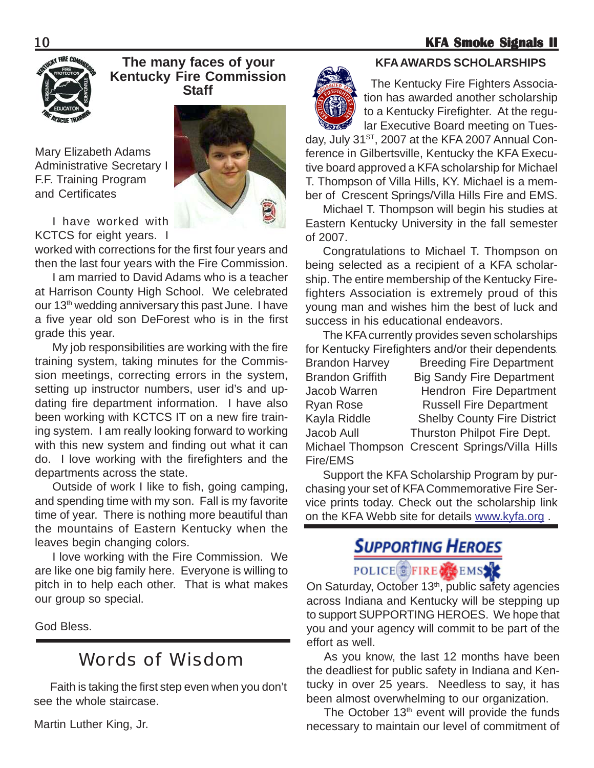#### 10 **KFA Smoke Signals II KFA Smoke Signals**



#### **The many faces of your Kentucky Fire Commission Staff**

Mary Elizabeth Adams Administrative Secretary I F.F. Training Program and Certificates



I have worked with KCTCS for eight years. I

worked with corrections for the first four years and then the last four years with the Fire Commission.

I am married to David Adams who is a teacher at Harrison County High School. We celebrated our 13<sup>th</sup> wedding anniversary this past June. I have a five year old son DeForest who is in the first grade this year.

My job responsibilities are working with the fire training system, taking minutes for the Commission meetings, correcting errors in the system, setting up instructor numbers, user id's and updating fire department information. I have also been working with KCTCS IT on a new fire training system. I am really looking forward to working with this new system and finding out what it can do. I love working with the firefighters and the departments across the state.

Outside of work I like to fish, going camping, and spending time with my son. Fall is my favorite time of year. There is nothing more beautiful than the mountains of Eastern Kentucky when the leaves begin changing colors.

I love working with the Fire Commission. We are like one big family here. Everyone is willing to pitch in to help each other. That is what makes our group so special.

God Bless.

# Words of Wisdom

Faith is taking the first step even when you don't see the whole staircase.

Martin Luther King, Jr.



#### **KFA AWARDS SCHOLARSHIPS**

 The Kentucky Fire Fighters Association has awarded another scholarship to a Kentucky Firefighter. At the regular Executive Board meeting on Tues-

day, July 31<sup>ST</sup>, 2007 at the KFA 2007 Annual Conference in Gilbertsville, Kentucky the KFA Executive board approved a KFA scholarship for Michael T. Thompson of Villa Hills, KY. Michael is a member of Crescent Springs/Villa Hills Fire and EMS.

Michael T. Thompson will begin his studies at Eastern Kentucky University in the fall semester of 2007.

Congratulations to Michael T. Thompson on being selected as a recipient of a KFA scholarship. The entire membership of the Kentucky Firefighters Association is extremely proud of this young man and wishes him the best of luck and success in his educational endeavors.

The KFA currently provides seven scholarships for Kentucky Firefighters and/or their dependents. Brandon Harvey Breeding Fire Department Brandon Griffith Big Sandy Fire Department Jacob Warren Hendron Fire Department Ryan Rose Russell Fire Department Kayla Riddle Shelby County Fire District Jacob Aull Thurston Philpot Fire Dept. Michael Thompson Crescent Springs/Villa Hills Fire/EMS

Support the KFA Scholarship Program by purchasing your set of KFA Commemorative Fire Service prints today. Check out the scholarship link on the KFA Webb site for details www.kyfa.org .

# **SUPPORTING HEROES**

## POLICE FIRE COEMS

On Saturday, October 13<sup>th</sup>, public safety agencies across Indiana and Kentucky will be stepping up to support SUPPORTING HEROES. We hope that you and your agency will commit to be part of the effort as well.

As you know, the last 12 months have been the deadliest for public safety in Indiana and Kentucky in over 25 years. Needless to say, it has been almost overwhelming to our organization.

The October 13<sup>th</sup> event will provide the funds necessary to maintain our level of commitment of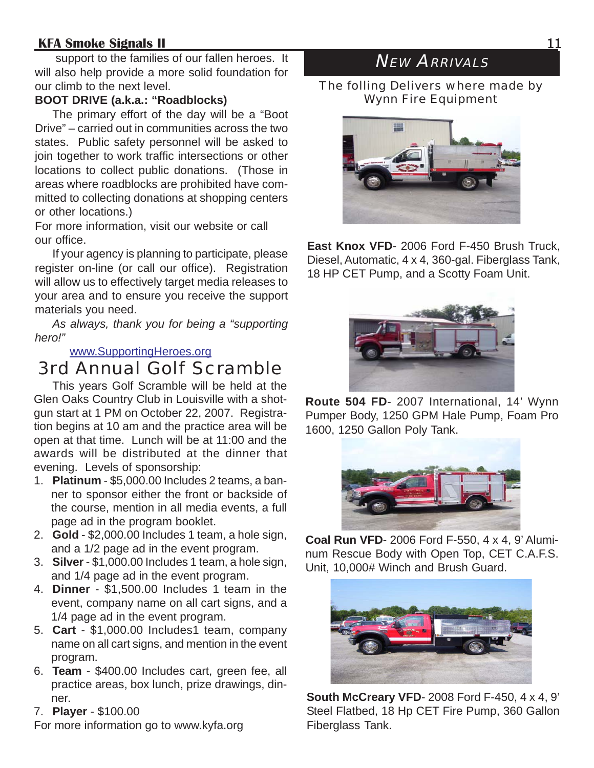support to the families of our fallen heroes. It will also help provide a more solid foundation for our climb to the next level.

#### **BOOT DRIVE (a.k.a.: "Roadblocks)**

The primary effort of the day will be a "Boot Drive" – carried out in communities across the two states. Public safety personnel will be asked to join together to work traffic intersections or other locations to collect public donations. (Those in areas where roadblocks are prohibited have committed to collecting donations at shopping centers or other locations.)

For more information, visit our website or call our office.

If your agency is planning to participate, please register on-line (or call our office). Registration will allow us to effectively target media releases to your area and to ensure you receive the support materials you need.

*As always, thank you for being a "supporting hero!"*

#### www.SupportingHeroes.org

# 3rd Annual Golf Scramble

This years Golf Scramble will be held at the Glen Oaks Country Club in Louisville with a shotgun start at 1 PM on October 22, 2007. Registration begins at 10 am and the practice area will be open at that time. Lunch will be at 11:00 and the awards will be distributed at the dinner that evening. Levels of sponsorship:

- 1. **Platinum** \$5,000.00 Includes 2 teams, a banner to sponsor either the front or backside of the course, mention in all media events, a full page ad in the program booklet.
- 2. **Gold** \$2,000.00 Includes 1 team, a hole sign, and a 1/2 page ad in the event program.
- 3. **Silver** \$1,000.00 Includes 1 team, a hole sign, and 1/4 page ad in the event program.
- 4. **Dinner** \$1,500.00 Includes 1 team in the event, company name on all cart signs, and a 1/4 page ad in the event program.
- 5. **Cart** \$1,000.00 Includes1 team, company name on all cart signs, and mention in the event program.
- 6. **Team** \$400.00 Includes cart, green fee, all practice areas, box lunch, prize drawings, dinner.
- 7. **Player** \$100.00

For more information go to www.kyfa.org

# **NEW ARRIVALS**

The folling Delivers where made by Wynn Fire Equipment



**East Knox VFD**- 2006 Ford F-450 Brush Truck, Diesel, Automatic, 4 x 4, 360-gal. Fiberglass Tank, 18 HP CET Pump, and a Scotty Foam Unit.



**Route 504 FD**- 2007 International, 14' Wynn Pumper Body, 1250 GPM Hale Pump, Foam Pro 1600, 1250 Gallon Poly Tank.



**Coal Run VFD**- 2006 Ford F-550, 4 x 4, 9' Aluminum Rescue Body with Open Top, CET C.A.F.S. Unit, 10,000# Winch and Brush Guard.



**South McCreary VFD**- 2008 Ford F-450, 4 x 4, 9' Steel Flatbed, 18 Hp CET Fire Pump, 360 Gallon Fiberglass Tank.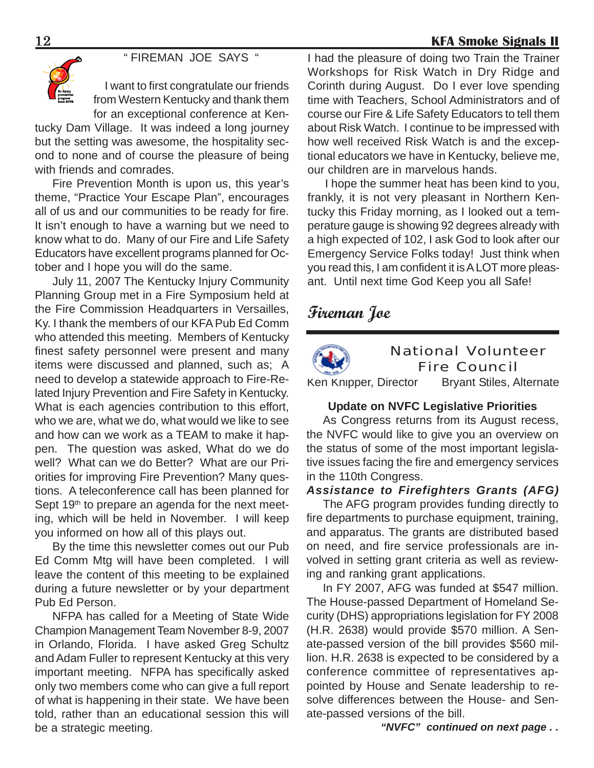" FIREMAN JOE SAYS "



I want to first congratulate our friends from Western Kentucky and thank them for an exceptional conference at Ken-

tucky Dam Village. It was indeed a long journey but the setting was awesome, the hospitality second to none and of course the pleasure of being with friends and comrades.

Fire Prevention Month is upon us, this year's theme, "Practice Your Escape Plan", encourages all of us and our communities to be ready for fire. It isn't enough to have a warning but we need to know what to do. Many of our Fire and Life Safety Educators have excellent programs planned for October and I hope you will do the same.

July 11, 2007 The Kentucky Injury Community Planning Group met in a Fire Symposium held at the Fire Commission Headquarters in Versailles, Ky. I thank the members of our KFA Pub Ed Comm who attended this meeting. Members of Kentucky finest safety personnel were present and many items were discussed and planned, such as; A need to develop a statewide approach to Fire-Related Injury Prevention and Fire Safety in Kentucky. What is each agencies contribution to this effort, who we are, what we do, what would we like to see and how can we work as a TEAM to make it happen. The question was asked, What do we do well? What can we do Better? What are our Priorities for improving Fire Prevention? Many questions. A teleconference call has been planned for Sept  $19<sup>th</sup>$  to prepare an agenda for the next meeting, which will be held in November. I will keep you informed on how all of this plays out.

By the time this newsletter comes out our Pub Ed Comm Mtg will have been completed. I will leave the content of this meeting to be explained during a future newsletter or by your department Pub Ed Person.

NFPA has called for a Meeting of State Wide Champion Management Team November 8-9, 2007 in Orlando, Florida. I have asked Greg Schultz and Adam Fuller to represent Kentucky at this very important meeting. NFPA has specifically asked only two members come who can give a full report of what is happening in their state. We have been told, rather than an educational session this will be a strategic meeting.

I had the pleasure of doing two Train the Trainer Workshops for Risk Watch in Dry Ridge and Corinth during August. Do I ever love spending time with Teachers, School Administrators and of course our Fire & Life Safety Educators to tell them about Risk Watch. I continue to be impressed with how well received Risk Watch is and the exceptional educators we have in Kentucky, believe me, our children are in marvelous hands.

I hope the summer heat has been kind to you, frankly, it is not very pleasant in Northern Kentucky this Friday morning, as I looked out a temperature gauge is showing 92 degrees already with a high expected of 102, I ask God to look after our Emergency Service Folks today! Just think when you read this, I am confident it is A LOT more pleasant. Until next time God Keep you all Safe!

## **Fireman Joe**



#### National Volunteer Fire Council

Ken Knipper, Director Bryant Stiles, Alternate

#### **Update on NVFC Legislative Priorities**

As Congress returns from its August recess, the NVFC would like to give you an overview on the status of some of the most important legislative issues facing the fire and emergency services in the 110th Congress.

#### *Assistance to Firefighters Grants (AFG)*

The AFG program provides funding directly to fire departments to purchase equipment, training, and apparatus. The grants are distributed based on need, and fire service professionals are involved in setting grant criteria as well as reviewing and ranking grant applications.

In FY 2007, AFG was funded at \$547 million. The House-passed Department of Homeland Security (DHS) appropriations legislation for FY 2008 (H.R. 2638) would provide \$570 million. A Senate-passed version of the bill provides \$560 million. H.R. 2638 is expected to be considered by a conference committee of representatives appointed by House and Senate leadership to resolve differences between the House- and Senate-passed versions of the bill.

*"NVFC" continued on next page . .*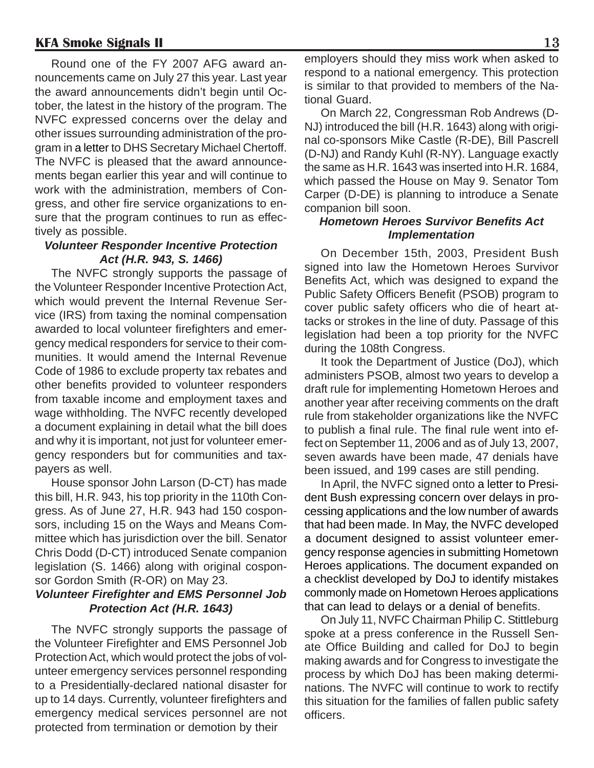Round one of the FY 2007 AFG award announcements came on July 27 this year. Last year the award announcements didn't begin until October, the latest in the history of the program. The NVFC expressed concerns over the delay and other issues surrounding administration of the program in a letter to DHS Secretary Michael Chertoff. The NVFC is pleased that the award announcements began earlier this year and will continue to work with the administration, members of Congress, and other fire service organizations to ensure that the program continues to run as effectively as possible.

#### *Volunteer Responder Incentive Protection Act (H.R. 943, S. 1466)*

The NVFC strongly supports the passage of the Volunteer Responder Incentive Protection Act, which would prevent the Internal Revenue Service (IRS) from taxing the nominal compensation awarded to local volunteer firefighters and emergency medical responders for service to their communities. It would amend the Internal Revenue Code of 1986 to exclude property tax rebates and other benefits provided to volunteer responders from taxable income and employment taxes and wage withholding. The NVFC recently developed a document explaining in detail what the bill does and why it is important, not just for volunteer emergency responders but for communities and taxpayers as well.

House sponsor John Larson (D-CT) has made this bill, H.R. 943, his top priority in the 110th Congress. As of June 27, H.R. 943 had 150 cosponsors, including 15 on the Ways and Means Committee which has jurisdiction over the bill. Senator Chris Dodd (D-CT) introduced Senate companion legislation (S. 1466) along with original cosponsor Gordon Smith (R-OR) on May 23.

#### *Volunteer Firefighter and EMS Personnel Job Protection Act (H.R. 1643)*

The NVFC strongly supports the passage of the Volunteer Firefighter and EMS Personnel Job Protection Act, which would protect the jobs of volunteer emergency services personnel responding to a Presidentially-declared national disaster for up to 14 days. Currently, volunteer firefighters and emergency medical services personnel are not protected from termination or demotion by their

employers should they miss work when asked to respond to a national emergency. This protection is similar to that provided to members of the National Guard.

On March 22, Congressman Rob Andrews (D-NJ) introduced the bill (H.R. 1643) along with original co-sponsors Mike Castle (R-DE), Bill Pascrell (D-NJ) and Randy Kuhl (R-NY). Language exactly the same as H.R. 1643 was inserted into H.R. 1684, which passed the House on May 9. Senator Tom Carper (D-DE) is planning to introduce a Senate companion bill soon.

#### *Hometown Heroes Survivor Benefits Act Implementation*

On December 15th, 2003, President Bush signed into law the Hometown Heroes Survivor Benefits Act, which was designed to expand the Public Safety Officers Benefit (PSOB) program to cover public safety officers who die of heart attacks or strokes in the line of duty. Passage of this legislation had been a top priority for the NVFC during the 108th Congress.

It took the Department of Justice (DoJ), which administers PSOB, almost two years to develop a draft rule for implementing Hometown Heroes and another year after receiving comments on the draft rule from stakeholder organizations like the NVFC to publish a final rule. The final rule went into effect on September 11, 2006 and as of July 13, 2007, seven awards have been made, 47 denials have been issued, and 199 cases are still pending.

In April, the NVFC signed onto a letter to President Bush expressing concern over delays in processing applications and the low number of awards that had been made. In May, the NVFC developed a document designed to assist volunteer emergency response agencies in submitting Hometown Heroes applications. The document expanded on a checklist developed by DoJ to identify mistakes commonly made on Hometown Heroes applications that can lead to delays or a denial of benefits.

On July 11, NVFC Chairman Philip C. Stittleburg spoke at a press conference in the Russell Senate Office Building and called for DoJ to begin making awards and for Congress to investigate the process by which DoJ has been making determinations. The NVFC will continue to work to rectify this situation for the families of fallen public safety officers.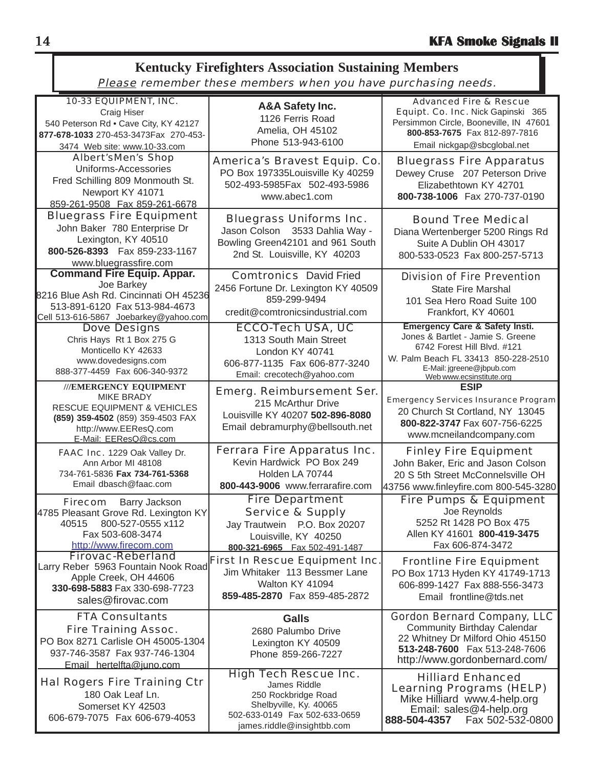| <b>Kentucky Firefighters Association Sustaining Members</b>                                                                                                                                                 |                                                                                                                                                               |                                                                                                                                                                                                                                                        |  |  |  |  |  |  |  |
|-------------------------------------------------------------------------------------------------------------------------------------------------------------------------------------------------------------|---------------------------------------------------------------------------------------------------------------------------------------------------------------|--------------------------------------------------------------------------------------------------------------------------------------------------------------------------------------------------------------------------------------------------------|--|--|--|--|--|--|--|
|                                                                                                                                                                                                             | Please remember these members when you have purchasing needs.                                                                                                 |                                                                                                                                                                                                                                                        |  |  |  |  |  |  |  |
| 10-33 EQUIPMENT, INC.<br>Craig Hiser<br>540 Peterson Rd . Cave City, KY 42127<br>877-678-1033 270-453-3473Fax 270-453-<br>3474 Web site: www.10-33.com<br><b>Albert'sMen's Shop</b><br>Uniforms-Accessories | A&A Safety Inc.<br>1126 Ferris Road<br>Amelia, OH 45102<br>Phone 513-943-6100<br>America's Bravest Equip. Co.<br>PO Box 197335Louisville Ky 40259             | <b>Advanced Fire &amp; Rescue</b><br>Equipt. Co. Inc. Nick Gapinski 365<br>Persimmon Circle, Booneville, IN 47601<br>800-853-7675 Fax 812-897-7816<br>Email nickgap@sbcglobal.net<br><b>Bluegrass Fire Apparatus</b><br>Dewey Cruse 207 Peterson Drive |  |  |  |  |  |  |  |
| Fred Schilling 809 Monmouth St.<br>Newport KY 41071<br>859-261-9508 Fax 859-261-6678<br><b>Bluegrass Fire Equipment</b>                                                                                     | 502-493-5985Fax 502-493-5986<br>www.abec1.com<br><b>Bluegrass Uniforms Inc.</b>                                                                               | Elizabethtown KY 42701<br>800-738-1006 Fax 270-737-0190<br><b>Bound Tree Medical</b>                                                                                                                                                                   |  |  |  |  |  |  |  |
| John Baker 780 Enterprise Dr<br>Lexington, KY 40510<br>800-526-8393  Fax 859-233-1167<br>www.bluegrassfire.com<br><b>Command Fire Equip. Appar.</b>                                                         | Jason Colson 3533 Dahlia Way -<br>Bowling Green42101 and 961 South<br>2nd St. Louisville, KY 40203                                                            | Diana Wertenberger 5200 Rings Rd<br>Suite A Dublin OH 43017<br>800-533-0523 Fax 800-257-5713                                                                                                                                                           |  |  |  |  |  |  |  |
| Joe Barkey<br>8216 Blue Ash Rd. Cincinnati OH 45236<br>513-891-6120 Fax 513-984-4673<br>Cell 513-616-5867 Joebarkey@yahoo.com                                                                               | <b>Comtronics</b> David Fried<br>2456 Fortune Dr. Lexington KY 40509<br>859-299-9494<br>credit@comtronicsindustrial.com                                       | <b>Division of Fire Prevention</b><br><b>State Fire Marshal</b><br>101 Sea Hero Road Suite 100<br>Frankfort, KY 40601                                                                                                                                  |  |  |  |  |  |  |  |
| <b>Dove Designs</b><br>Chris Hays Rt 1 Box 275 G<br>Monticello KY 42633<br>www.dovedesigns.com<br>888-377-4459  Fax 606-340-9372                                                                            | <b>ECCO-Tech USA, UC</b><br>1313 South Main Street<br>London KY 40741<br>606-877-1135 Fax 606-877-3240<br>Email: crecotech@yahoo.com                          | <b>Emergency Care &amp; Safety Insti.</b><br>Jones & Bartlet - Jamie S. Greene<br>6742 Forest Hill Blvd. #121<br>W. Palm Beach FL 33413 850-228-2510<br>E-Mail: jgreene@jbpub.com<br>Web www.ecsinstitute.org                                          |  |  |  |  |  |  |  |
| ///EMERGENCY EQUIPMENT<br><b>MIKE BRADY</b><br><b>RESCUE EQUIPMENT &amp; VEHICLES</b><br>(859) 359-4502 (859) 359-4503 FAX<br>http://www.EEResQ.com<br>E-Mail: EEResQ@cs.com                                | <b>Emerg. Reimbursement Ser.</b><br>215 McArthur Drive<br>Louisville KY 40207 502-896-8080<br>Email debramurphy@bellsouth.net                                 | <b>ESIP</b><br><b>Emergency Services Insurance Program</b><br>20 Church St Cortland, NY 13045<br>800-822-3747 Fax 607-756-6225<br>www.mcneilandcompany.com                                                                                             |  |  |  |  |  |  |  |
| FAAC Inc. 1229 Oak Valley Dr.<br>Ann Arbor MI 48108<br>734-761-5836 Fax 734-761-5368<br>Email dbasch@faac.com                                                                                               | <b>Ferrara Fire Apparatus Inc.</b><br>Kevin Hardwick PO Box 249<br>Holden LA 70744<br>800-443-9006 www.ferrarafire.com                                        | <b>Finley Fire Equipment</b><br>John Baker, Eric and Jason Colson<br>20 S 5th Street McConnelsville OH<br>43756 www.finleyfire.com 800-545-3280                                                                                                        |  |  |  |  |  |  |  |
| Firecom Barry Jackson<br>4785 Pleasant Grove Rd. Lexington KY<br>800-527-0555 x112<br>40515<br>Fax 503-608-3474<br>http://www.firecom.com                                                                   | <b>Fire Department</b><br><b>Service &amp; Supply</b><br>Jay Trautwein P.O. Box 20207<br>Louisville, KY 40250<br>800-321-6965  Fax 502-491-1487               | <b>Fire Pumps &amp; Equipment</b><br>Joe Reynolds<br>5252 Rt 1428 PO Box 475<br>Allen KY 41601 800-419-3475<br>Fax 606-874-3472                                                                                                                        |  |  |  |  |  |  |  |
| <b>Firovac-Reberland</b><br>Larry Reber 5963 Fountain Nook Road<br>Apple Creek, OH 44606<br>330-698-5883 Fax 330-698-7723<br>sales@firovac.com                                                              | <b>First In Rescue Equipment Inc.</b><br>Jim Whitaker 113 Bessmer Lane<br>Walton KY 41094<br>859-485-2870 Fax 859-485-2872                                    | <b>Frontline Fire Equipment</b><br>PO Box 1713 Hyden KY 41749-1713<br>606-899-1427 Fax 888-556-3473<br>Email frontline@tds.net                                                                                                                         |  |  |  |  |  |  |  |
| <b>FTA Consultants</b><br><b>Fire Training Assoc.</b><br>PO Box 8271 Carlisle OH 45005-1304<br>937-746-3587 Fax 937-746-1304<br>Email hertelfta@juno.com                                                    | <b>Galls</b><br>2680 Palumbo Drive<br>Lexington KY 40509<br>Phone 859-266-7227                                                                                | <b>Gordon Bernard Company, LLC</b><br><b>Community Birthday Calendar</b><br>22 Whitney Dr Milford Ohio 45150<br>513-248-7600 Fax 513-248-7606<br>http://www.gordonbernard.com/                                                                         |  |  |  |  |  |  |  |
| <b>Hal Rogers Fire Training Ctr</b><br>180 Oak Leaf Ln.<br>Somerset KY 42503<br>606-679-7075 Fax 606-679-4053                                                                                               | <b>High Tech Rescue Inc.</b><br>James Riddle<br>250 Rockbridge Road<br>Shelbyville, Ky. 40065<br>502-633-0149  Fax 502-633-0659<br>james.riddle@insightbb.com | <b>Hilliard Enhanced</b><br><b>Learning Programs (HELP)</b><br>Mike Hilliard www.4-help.org<br>Email: sales@4-help.org<br>Fax 502-532-0800<br>888-504-4357                                                                                             |  |  |  |  |  |  |  |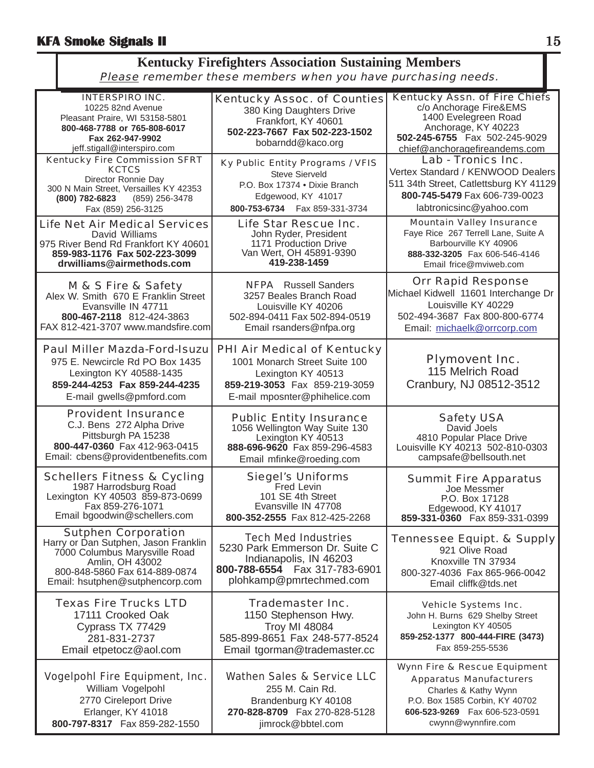#### **Kentucky Firefighters Association Sustaining Members** Please remember these members when you have purchasing needs.

| <b>INTERSPIRO INC.</b><br>10225 82nd Avenue<br>Pleasant Praire, WI 53158-5801<br>800-468-7788 or 765-808-6017<br>Fax 262-947-9902<br>jeff.stigall@interspiro.com                           | <b>Kentucky Assoc. of Counties</b><br>380 King Daughters Drive<br>Frankfort, KY 40601<br>502-223-7667 Fax 502-223-1502<br>bobarndd@kaco.org                 | <b>Kentucky Assn. of Fire Chiefs</b><br>c/o Anchorage Fire&EMS<br>1400 Evelegreen Road<br>Anchorage, KY 40223<br>502-245-6755  Fax 502-245-9029<br>chief@anchoragefireandems.com   |
|--------------------------------------------------------------------------------------------------------------------------------------------------------------------------------------------|-------------------------------------------------------------------------------------------------------------------------------------------------------------|------------------------------------------------------------------------------------------------------------------------------------------------------------------------------------|
| <b>Kentucky Fire Commission SFRT</b><br><b>KCTCS</b><br>Director Ronnie Day<br>300 N Main Street, Versailles KY 42353<br>(800) 782-6823<br>(859) 256-3478<br>Fax (859) 256-3125            | Ky Public Entity Programs / VFIS<br><b>Steve Sierveld</b><br>P.O. Box 17374 . Dixie Branch<br>Edgewood, KY 41017<br>800-753-6734    Fax 859-331-3734        | Lab - Tronics Inc.<br>Vertex Standard / KENWOOD Dealers<br>511 34th Street, Catlettsburg KY 41129<br>800-745-5479 Fax 606-739-0023<br>labtronicsinc@yahoo.com                      |
| <b>Life Net Air Medical Services</b><br>David Williams<br>975 River Bend Rd Frankfort KY 40601<br>859-983-1176 Fax 502-223-3099<br>drwilliams@airmethods.com                               | Life Star Rescue Inc.<br>John Ryder, President<br>1171 Production Drive<br>Van Wert, OH 45891-9390<br>419-238-1459                                          | <b>Mountain Valley Insurance</b><br>Faye Rice 267 Terrell Lane, Suite A<br>Barbourville KY 40906<br>888-332-3205 Fax 606-546-4146<br>Email frice@mviweb.com                        |
| M & S Fire & Safety<br>Alex W. Smith 670 E Franklin Street<br>Evansville IN 47711<br>800-467-2118 812-424-3863<br>FAX 812-421-3707 www.mandsfire.com                                       | <b>NFPA</b> Russell Sanders<br>3257 Beales Branch Road<br>Louisville KY 40206<br>502-894-0411 Fax 502-894-0519<br>Email rsanders@nfpa.org                   | <b>Orr Rapid Response</b><br>Michael Kidwell 11601 Interchange Dr<br>Louisville KY 40229<br>502-494-3687 Fax 800-800-6774<br>Email: michaelk@orrcorp.com                           |
| <b>Paul Miller Mazda-Ford-Isuzu</b><br>975 E. Newcircle Rd PO Box 1435<br>Lexington KY 40588-1435<br>859-244-4253 Fax 859-244-4235<br>E-mail gwells@pmford.com                             | <b>PHI Air Medical of Kentucky</b><br>1001 Monarch Street Suite 100<br>Lexington KY 40513<br>859-219-3053 Fax 859-219-3059<br>E-mail mposnter@phihelice.com | <b>Plymovent Inc.</b><br>115 Melrich Road<br>Cranbury, NJ 08512-3512                                                                                                               |
| <b>Provident Insurance</b><br>C.J. Bens 272 Alpha Drive<br>Pittsburgh PA 15238<br>800-447-0360 Fax 412-963-0415<br>Email: cbens@providentbenefits.com                                      | <b>Public Entity Insurance</b><br>1056 Wellington Way Suite 130<br>Lexington KY 40513<br>888-696-9620 Fax 859-296-4583<br>Email mfinke@roeding.com          | <b>Safety USA</b><br>David Joels<br>4810 Popular Place Drive<br>Louisville KY 40213 502-810-0303<br>campsafe@bellsouth.net                                                         |
| <b>Schellers Fitness &amp; Cycling</b><br>1987 Harrodsburg Road<br>Lexington KY 40503 859-873-0699<br>Fax 859-276-1071<br>Email bgoodwin@schellers.com                                     | <b>Siegel's Uniforms</b><br>Fred Levin<br>101 SE 4th Street<br>Evansville IN 47708<br>800-352-2555 Fax 812-425-2268                                         | <b>Summit Fire Apparatus</b><br>Joe Messmer<br>P.O. Box 17128<br>Edgewood, KY 41017<br>859-331-0360 Fax 859-331-0399                                                               |
| <b>Sutphen Corporation</b><br>Harry or Dan Sutphen, Jason Franklin<br>7000 Columbus Marysville Road<br>Amlin, OH 43002<br>800-848-5860 Fax 614-889-0874<br>Email: hsutphen@sutphencorp.com | <b>Tech Med Industries</b><br>5230 Park Emmerson Dr. Suite C<br>Indianapolis, IN 46203<br>800-788-6554  Fax 317-783-6901<br>plohkamp@pmrtechmed.com         | <b>Tennessee Equipt. &amp; Supply</b><br>921 Olive Road<br>Knoxville TN 37934<br>800-327-4036 Fax 865-966-0042<br>Email cliffk@tds.net                                             |
| <b>Texas Fire Trucks LTD</b><br>17111 Crooked Oak<br>Cyprass TX 77429<br>281-831-2737<br>Email etpetocz@aol.com                                                                            | <b>Trademaster Inc.</b><br>1150 Stephenson Hwy.<br><b>Troy MI 48084</b><br>585-899-8651 Fax 248-577-8524<br>Email tgorman@trademaster.cc                    | Vehicle Systems Inc.<br>John H. Burns 629 Shelby Street<br>Lexington KY 40505<br>859-252-1377 800-444-FIRE (3473)<br>Fax 859-255-5536                                              |
| <b>Vogelpohl Fire Equipment, Inc.</b><br>William Vogelpohl<br>2770 Cireleport Drive<br>Erlanger, KY 41018<br>800-797-8317  Fax 859-282-1550                                                | <b>Wathen Sales &amp; Service LLC</b><br>255 M. Cain Rd.<br>Brandenburg KY 40108<br>270-828-8709  Fax 270-828-5128<br>jimrock@bbtel.com                     | Wynn Fire & Rescue Equipment<br><b>Apparatus Manufacturers</b><br>Charles & Kathy Wynn<br>P.O. Box 1585 Corbin, KY 40702<br>606-523-9269    Fax 606-523-0591<br>cwynn@wynnfire.com |